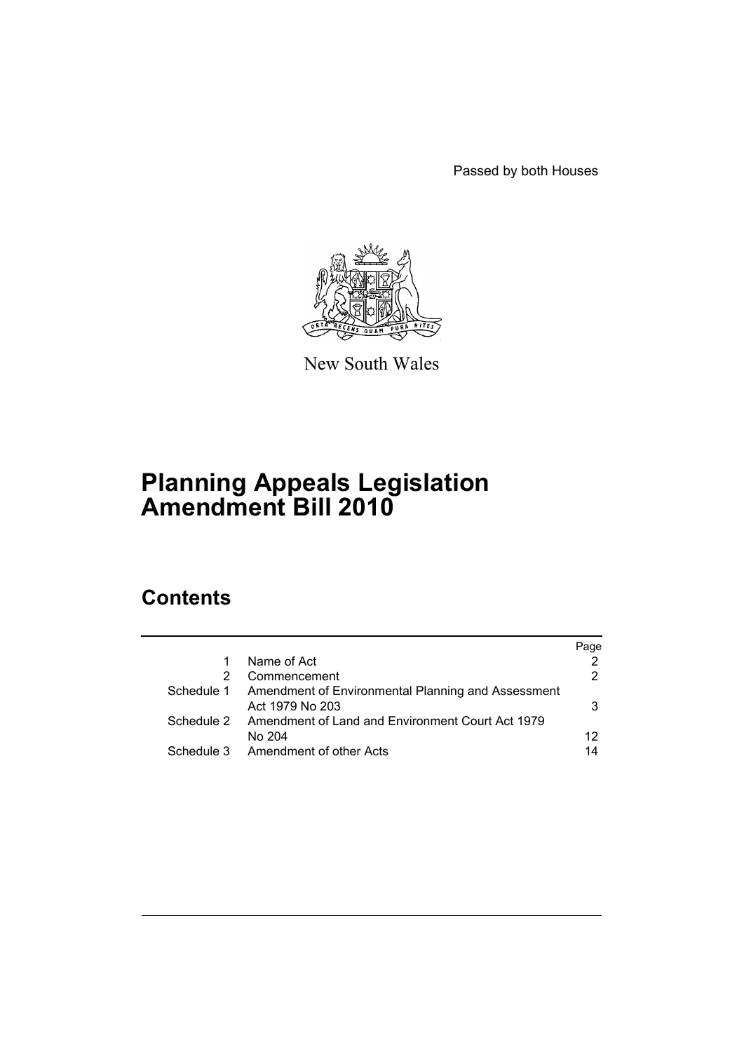Passed by both Houses



New South Wales

# **Planning Appeals Legislation Amendment Bill 2010**

# **Contents**

|            |                                                             | Page |
|------------|-------------------------------------------------------------|------|
| 1          | Name of Act                                                 |      |
|            | Commencement                                                | 2    |
| Schedule 1 | Amendment of Environmental Planning and Assessment          |      |
|            | Act 1979 No 203                                             | 3    |
|            | Schedule 2 Amendment of Land and Environment Court Act 1979 |      |
|            | No 204                                                      | 12   |
|            | Schedule 3 Amendment of other Acts                          | 14   |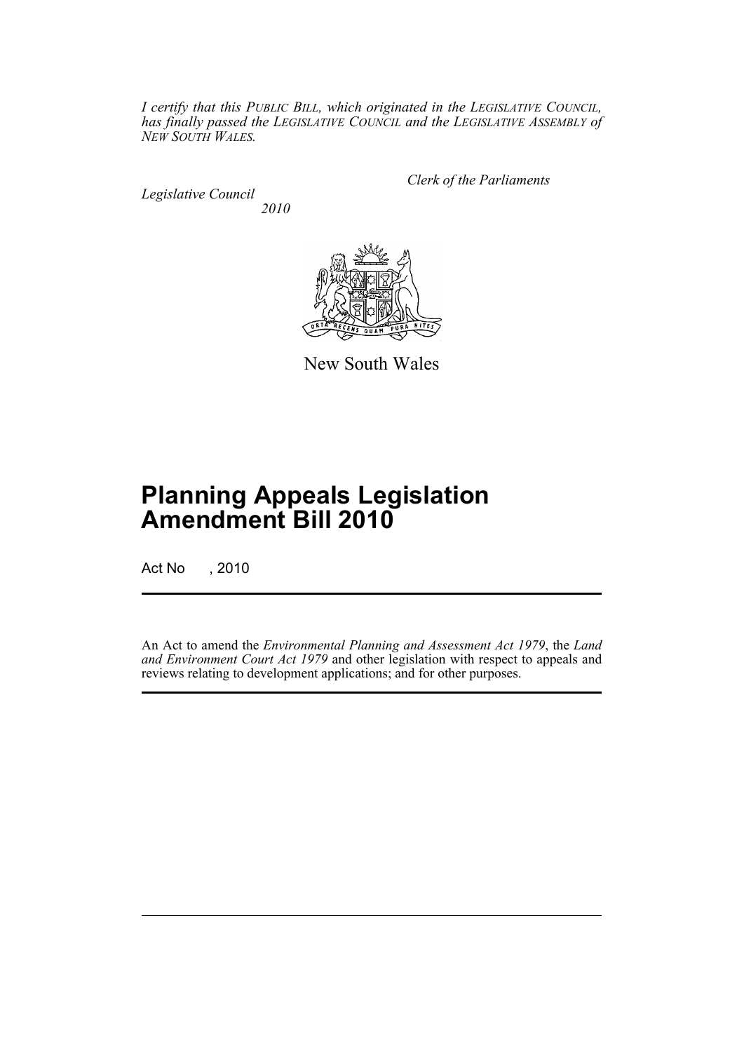*I certify that this PUBLIC BILL, which originated in the LEGISLATIVE COUNCIL, has finally passed the LEGISLATIVE COUNCIL and the LEGISLATIVE ASSEMBLY of NEW SOUTH WALES.*

*Legislative Council 2010* *Clerk of the Parliaments*



New South Wales

# **Planning Appeals Legislation Amendment Bill 2010**

Act No , 2010

An Act to amend the *Environmental Planning and Assessment Act 1979*, the *Land* and Environment Court Act 1979 and other legislation with respect to appeals and reviews relating to development applications; and for other purposes.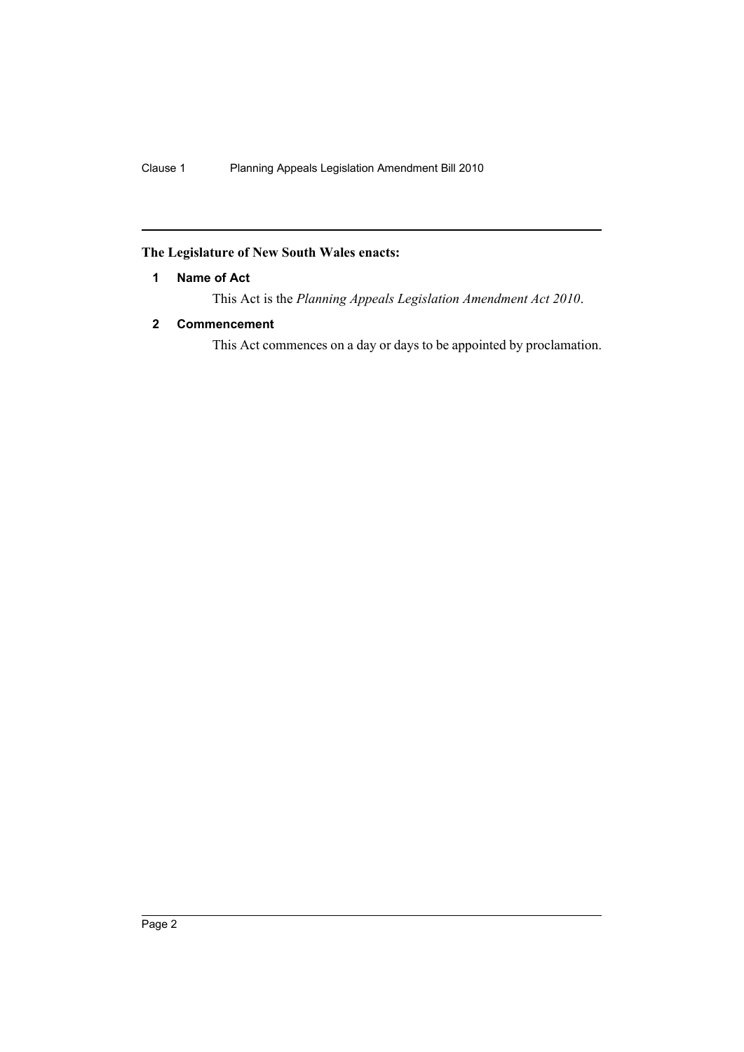# <span id="page-2-0"></span>**The Legislature of New South Wales enacts:**

# **1 Name of Act**

This Act is the *Planning Appeals Legislation Amendment Act 2010*.

## <span id="page-2-1"></span>**2 Commencement**

This Act commences on a day or days to be appointed by proclamation.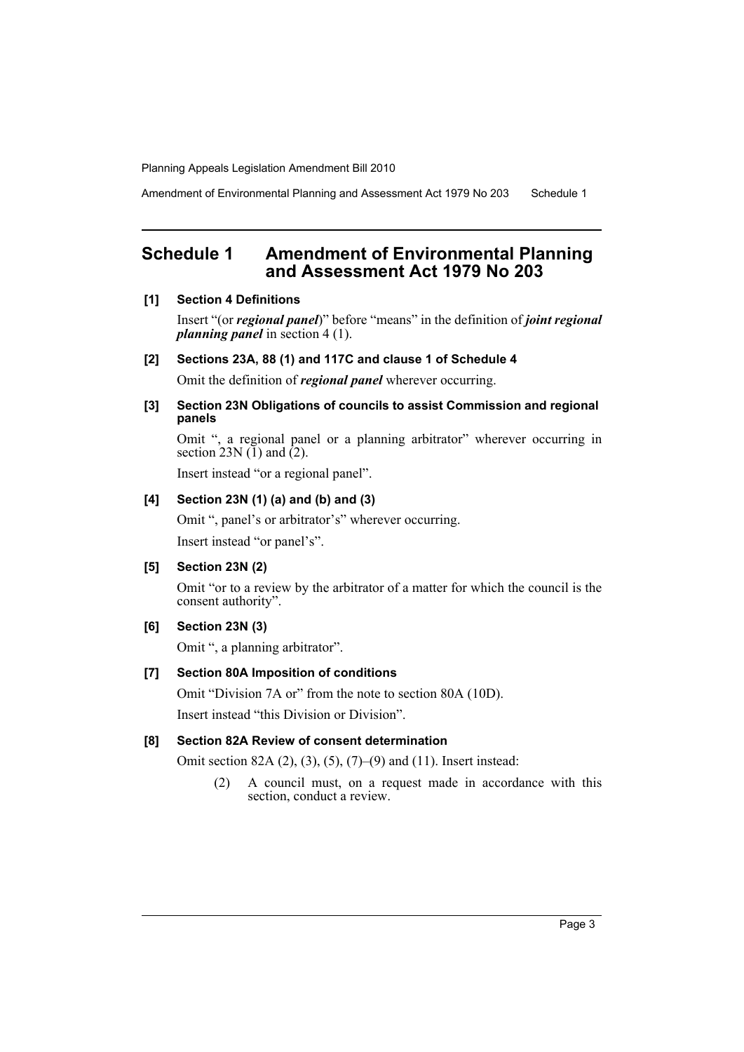Amendment of Environmental Planning and Assessment Act 1979 No 203 Schedule 1

# <span id="page-3-0"></span>**Schedule 1 Amendment of Environmental Planning and Assessment Act 1979 No 203**

#### **[1] Section 4 Definitions**

Insert "(or *regional panel*)" before "means" in the definition of *joint regional planning panel* in section 4 (1).

#### **[2] Sections 23A, 88 (1) and 117C and clause 1 of Schedule 4**

Omit the definition of *regional panel* wherever occurring.

#### **[3] Section 23N Obligations of councils to assist Commission and regional panels**

Omit ", a regional panel or a planning arbitrator" wherever occurring in section 23N  $(1)$  and  $(2)$ .

Insert instead "or a regional panel".

# **[4] Section 23N (1) (a) and (b) and (3)**

Omit ", panel's or arbitrator's" wherever occurring.

Insert instead "or panel's".

# **[5] Section 23N (2)**

Omit "or to a review by the arbitrator of a matter for which the council is the consent authority".

## **[6] Section 23N (3)**

Omit ", a planning arbitrator".

#### **[7] Section 80A Imposition of conditions**

Omit "Division 7A or" from the note to section 80A (10D). Insert instead "this Division or Division".

#### **[8] Section 82A Review of consent determination**

Omit section 82A (2), (3), (5), (7)–(9) and (11). Insert instead:

(2) A council must, on a request made in accordance with this section, conduct a review.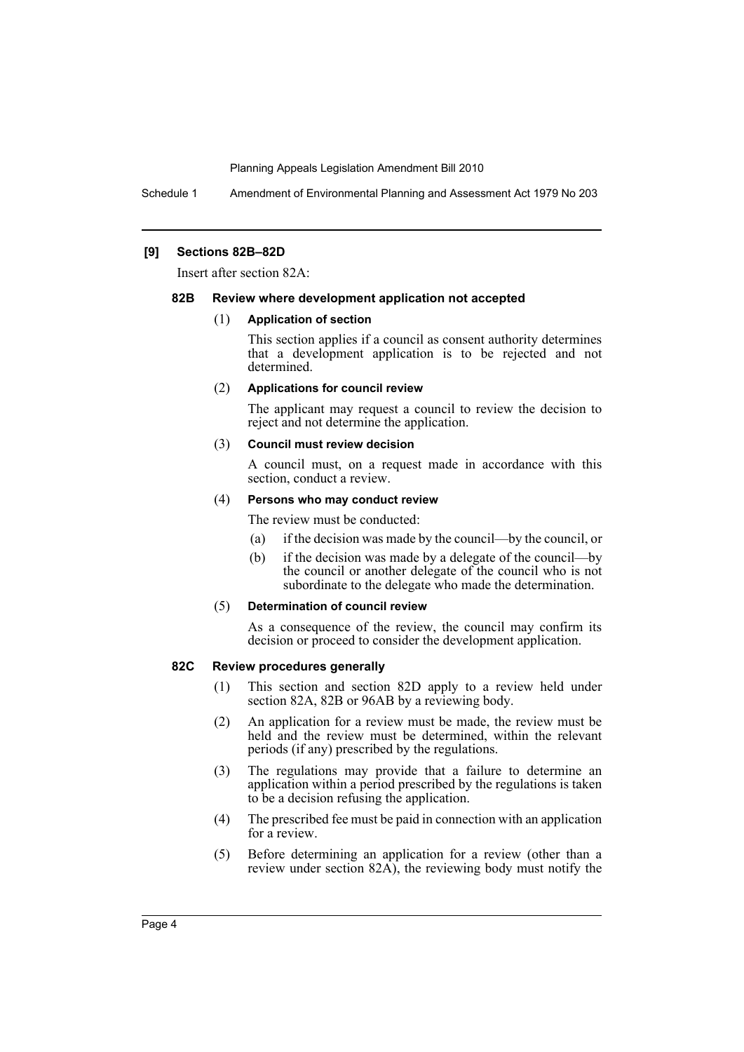Schedule 1 Amendment of Environmental Planning and Assessment Act 1979 No 203

#### **[9] Sections 82B–82D**

Insert after section 82A:

#### **82B Review where development application not accepted**

#### (1) **Application of section**

This section applies if a council as consent authority determines that a development application is to be rejected and not determined.

#### (2) **Applications for council review**

The applicant may request a council to review the decision to reject and not determine the application.

#### (3) **Council must review decision**

A council must, on a request made in accordance with this section, conduct a review.

### (4) **Persons who may conduct review**

The review must be conducted:

- (a) if the decision was made by the council—by the council, or
- (b) if the decision was made by a delegate of the council—by the council or another delegate of the council who is not subordinate to the delegate who made the determination.

#### (5) **Determination of council review**

As a consequence of the review, the council may confirm its decision or proceed to consider the development application.

#### **82C Review procedures generally**

- (1) This section and section 82D apply to a review held under section 82A, 82B or 96AB by a reviewing body.
- (2) An application for a review must be made, the review must be held and the review must be determined, within the relevant periods (if any) prescribed by the regulations.
- (3) The regulations may provide that a failure to determine an application within a period prescribed by the regulations is taken to be a decision refusing the application.
- (4) The prescribed fee must be paid in connection with an application for a review.
- (5) Before determining an application for a review (other than a review under section 82A), the reviewing body must notify the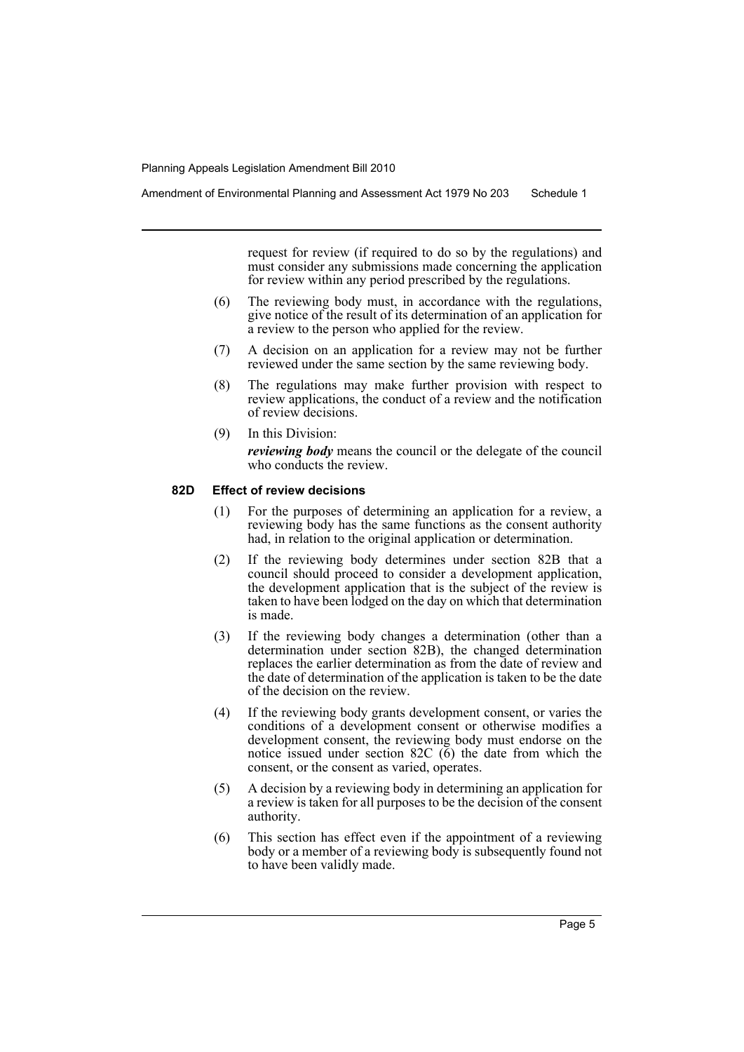request for review (if required to do so by the regulations) and must consider any submissions made concerning the application for review within any period prescribed by the regulations.

- (6) The reviewing body must, in accordance with the regulations, give notice of the result of its determination of an application for a review to the person who applied for the review.
- (7) A decision on an application for a review may not be further reviewed under the same section by the same reviewing body.
- (8) The regulations may make further provision with respect to review applications, the conduct of a review and the notification of review decisions.
- (9) In this Division: *reviewing body* means the council or the delegate of the council who conducts the review.

## **82D Effect of review decisions**

- (1) For the purposes of determining an application for a review, a reviewing body has the same functions as the consent authority had, in relation to the original application or determination.
- (2) If the reviewing body determines under section 82B that a council should proceed to consider a development application, the development application that is the subject of the review is taken to have been lodged on the day on which that determination is made.
- (3) If the reviewing body changes a determination (other than a determination under section 82B), the changed determination replaces the earlier determination as from the date of review and the date of determination of the application is taken to be the date of the decision on the review.
- (4) If the reviewing body grants development consent, or varies the conditions of a development consent or otherwise modifies a development consent, the reviewing body must endorse on the notice issued under section 82C (6) the date from which the consent, or the consent as varied, operates.
- (5) A decision by a reviewing body in determining an application for a review is taken for all purposes to be the decision of the consent authority.
- (6) This section has effect even if the appointment of a reviewing body or a member of a reviewing body is subsequently found not to have been validly made.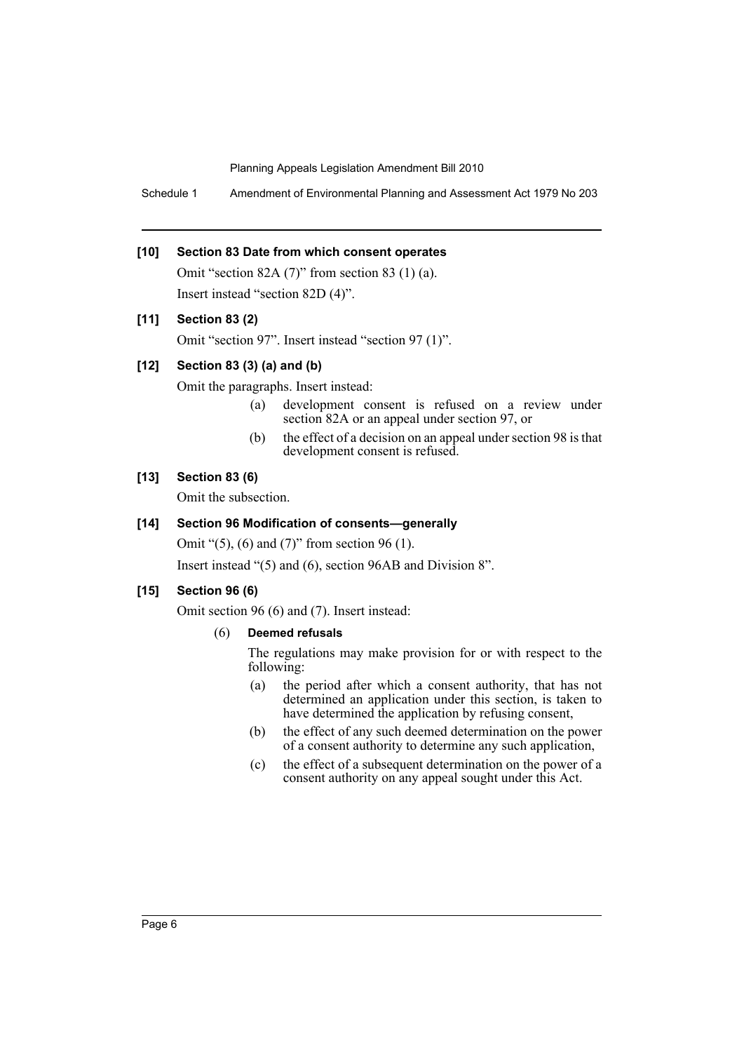Schedule 1 Amendment of Environmental Planning and Assessment Act 1979 No 203

#### **[10] Section 83 Date from which consent operates**

Omit "section 82A (7)" from section 83 (1) (a). Insert instead "section 82D (4)".

# **[11] Section 83 (2)**

Omit "section 97". Insert instead "section 97 (1)".

# **[12] Section 83 (3) (a) and (b)**

Omit the paragraphs. Insert instead:

- (a) development consent is refused on a review under section 82A or an appeal under section 97, or
- (b) the effect of a decision on an appeal under section 98 is that development consent is refused.

#### **[13] Section 83 (6)**

Omit the subsection.

## **[14] Section 96 Modification of consents—generally**

Omit "(5), (6) and (7)" from section 96 (1).

Insert instead "(5) and (6), section 96AB and Division 8".

# **[15] Section 96 (6)**

Omit section 96 (6) and (7). Insert instead:

# (6) **Deemed refusals**

The regulations may make provision for or with respect to the following:

- (a) the period after which a consent authority, that has not determined an application under this section, is taken to have determined the application by refusing consent,
- (b) the effect of any such deemed determination on the power of a consent authority to determine any such application,
- (c) the effect of a subsequent determination on the power of a consent authority on any appeal sought under this Act.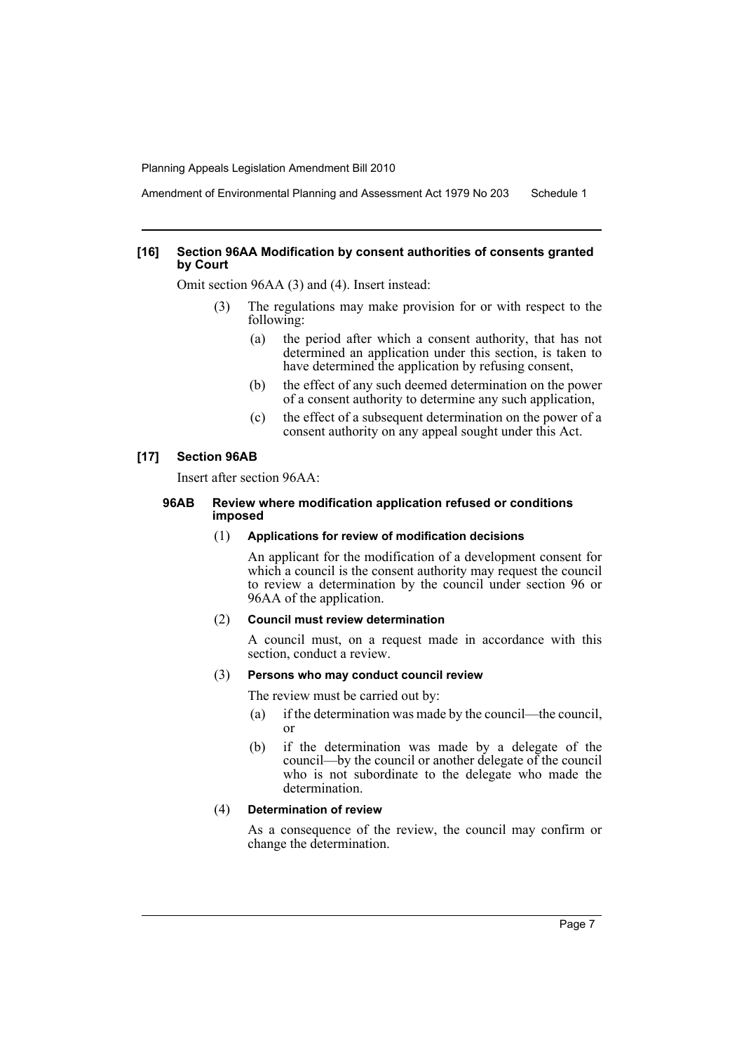Amendment of Environmental Planning and Assessment Act 1979 No 203 Schedule 1

#### **[16] Section 96AA Modification by consent authorities of consents granted by Court**

Omit section 96AA (3) and (4). Insert instead:

- (3) The regulations may make provision for or with respect to the following:
	- (a) the period after which a consent authority, that has not determined an application under this section, is taken to have determined the application by refusing consent,
	- (b) the effect of any such deemed determination on the power of a consent authority to determine any such application,
	- (c) the effect of a subsequent determination on the power of a consent authority on any appeal sought under this Act.

#### **[17] Section 96AB**

Insert after section 96AA:

#### **96AB Review where modification application refused or conditions imposed**

#### (1) **Applications for review of modification decisions**

An applicant for the modification of a development consent for which a council is the consent authority may request the council to review a determination by the council under section 96 or 96AA of the application.

#### (2) **Council must review determination**

A council must, on a request made in accordance with this section, conduct a review.

#### (3) **Persons who may conduct council review**

The review must be carried out by:

- (a) if the determination was made by the council—the council, or
- (b) if the determination was made by a delegate of the council—by the council or another delegate of the council who is not subordinate to the delegate who made the determination.

#### (4) **Determination of review**

As a consequence of the review, the council may confirm or change the determination.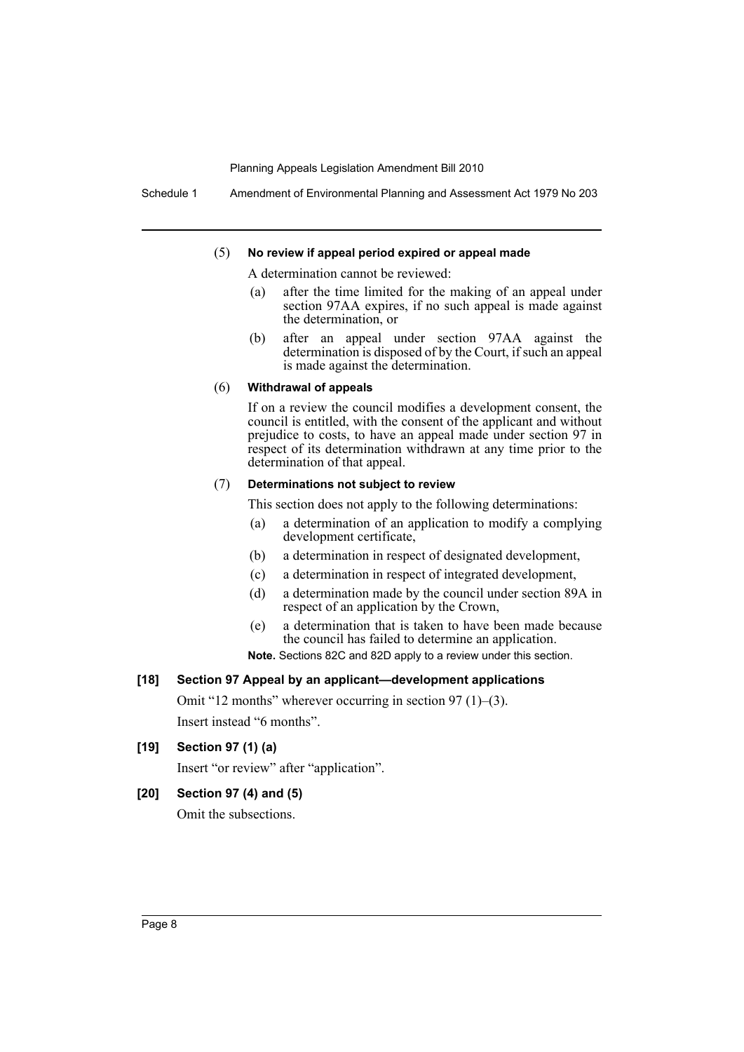Schedule 1 Amendment of Environmental Planning and Assessment Act 1979 No 203

#### (5) **No review if appeal period expired or appeal made**

A determination cannot be reviewed:

- (a) after the time limited for the making of an appeal under section 97AA expires, if no such appeal is made against the determination, or
- (b) after an appeal under section 97AA against the determination is disposed of by the Court, if such an appeal is made against the determination.

#### (6) **Withdrawal of appeals**

If on a review the council modifies a development consent, the council is entitled, with the consent of the applicant and without prejudice to costs, to have an appeal made under section 97 in respect of its determination withdrawn at any time prior to the determination of that appeal.

#### (7) **Determinations not subject to review**

This section does not apply to the following determinations:

- (a) a determination of an application to modify a complying development certificate,
- (b) a determination in respect of designated development,
- (c) a determination in respect of integrated development,
- (d) a determination made by the council under section 89A in respect of an application by the Crown,
- (e) a determination that is taken to have been made because the council has failed to determine an application.
- **Note.** Sections 82C and 82D apply to a review under this section.

#### **[18] Section 97 Appeal by an applicant—development applications**

Omit "12 months" wherever occurring in section 97 (1)–(3). Insert instead "6 months".

## **[19] Section 97 (1) (a)**

Insert "or review" after "application".

# **[20] Section 97 (4) and (5)**

Omit the subsections.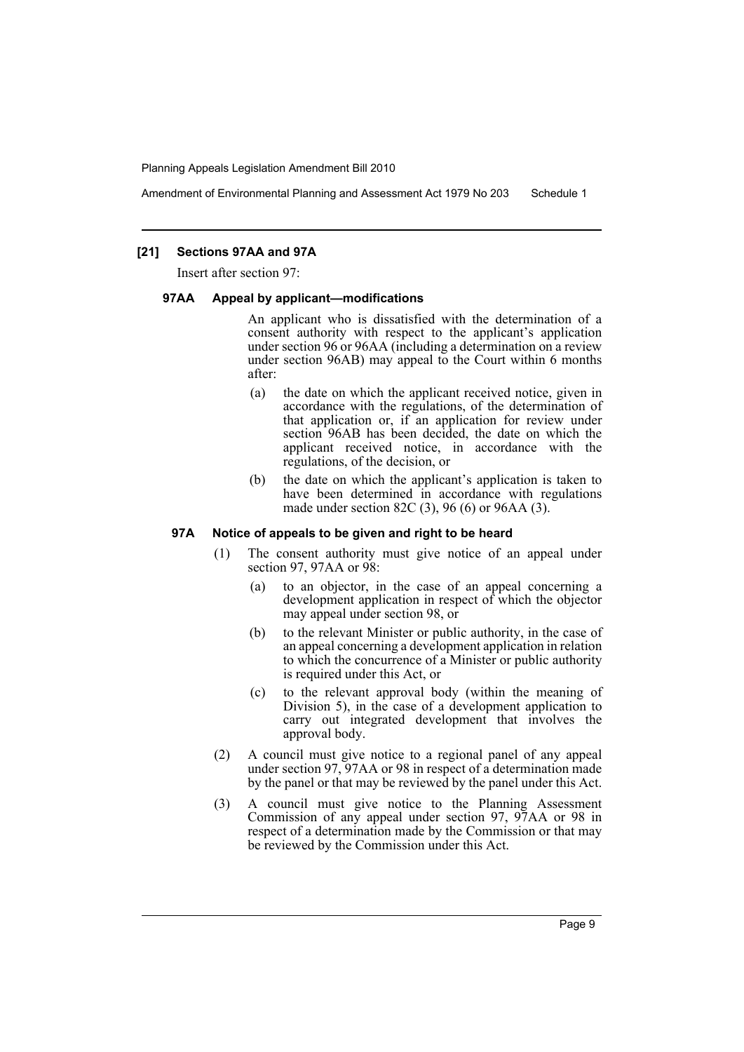Amendment of Environmental Planning and Assessment Act 1979 No 203 Schedule 1

#### **[21] Sections 97AA and 97A**

Insert after section 97:

#### **97AA Appeal by applicant—modifications**

An applicant who is dissatisfied with the determination of a consent authority with respect to the applicant's application under section 96 or 96AA (including a determination on a review under section 96AB) may appeal to the Court within 6 months after:

- (a) the date on which the applicant received notice, given in accordance with the regulations, of the determination of that application or, if an application for review under section 96AB has been decided, the date on which the applicant received notice, in accordance with the regulations, of the decision, or
- (b) the date on which the applicant's application is taken to have been determined in accordance with regulations made under section 82C (3), 96 (6) or 96AA (3).

#### **97A Notice of appeals to be given and right to be heard**

- (1) The consent authority must give notice of an appeal under section 97, 97AA or 98:
	- (a) to an objector, in the case of an appeal concerning a development application in respect of which the objector may appeal under section 98, or
	- (b) to the relevant Minister or public authority, in the case of an appeal concerning a development application in relation to which the concurrence of a Minister or public authority is required under this Act, or
	- (c) to the relevant approval body (within the meaning of Division 5), in the case of a development application to carry out integrated development that involves the approval body.
- (2) A council must give notice to a regional panel of any appeal under section 97, 97AA or 98 in respect of a determination made by the panel or that may be reviewed by the panel under this Act.
- (3) A council must give notice to the Planning Assessment Commission of any appeal under section 97, 97AA or 98 in respect of a determination made by the Commission or that may be reviewed by the Commission under this Act.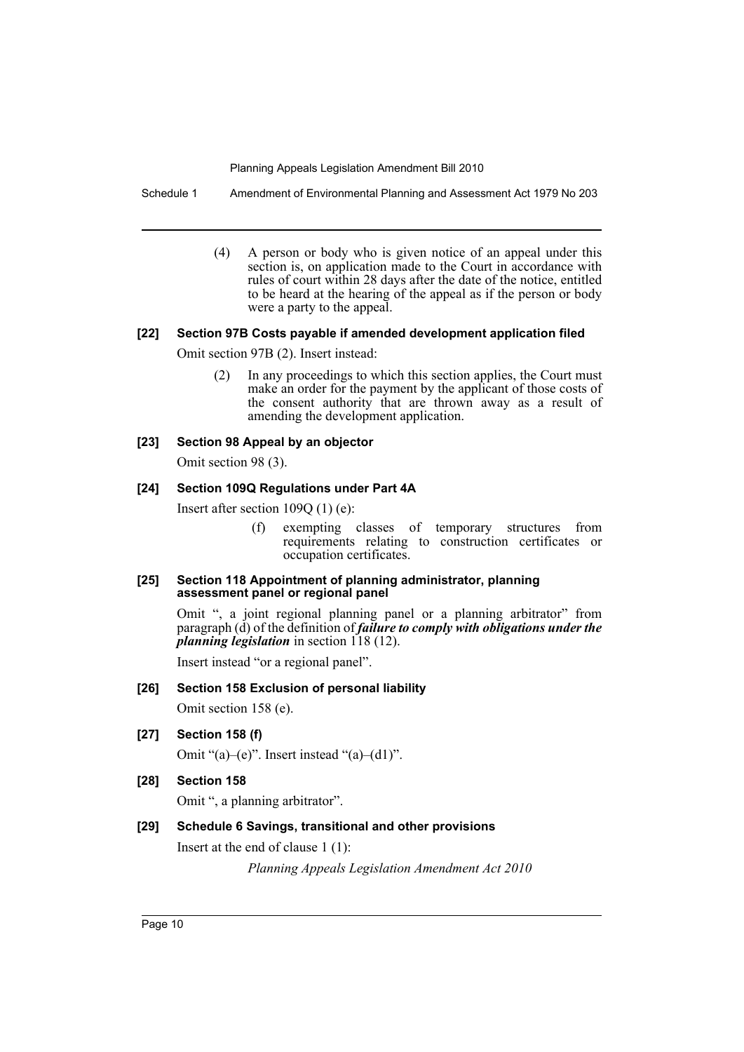Schedule 1 Amendment of Environmental Planning and Assessment Act 1979 No 203

(4) A person or body who is given notice of an appeal under this section is, on application made to the Court in accordance with rules of court within 28 days after the date of the notice, entitled to be heard at the hearing of the appeal as if the person or body were a party to the appeal.

# **[22] Section 97B Costs payable if amended development application filed**

Omit section 97B (2). Insert instead:

(2) In any proceedings to which this section applies, the Court must make an order for the payment by the applicant of those costs of the consent authority that are thrown away as a result of amending the development application.

# **[23] Section 98 Appeal by an objector**

Omit section 98 (3).

# **[24] Section 109Q Regulations under Part 4A**

Insert after section 109Q (1) (e):

(f) exempting classes of temporary structures from requirements relating to construction certificates or occupation certificates.

#### **[25] Section 118 Appointment of planning administrator, planning assessment panel or regional panel**

Omit ", a joint regional planning panel or a planning arbitrator" from paragraph (d) of the definition of *failure to comply with obligations under the planning legislation* in section 118 (12).

Insert instead "or a regional panel".

# **[26] Section 158 Exclusion of personal liability**

Omit section 158 (e).

**[27] Section 158 (f)**

Omit " $(a)$ – $(e)$ ". Insert instead " $(a)$ – $(d1)$ ".

**[28] Section 158**

Omit ", a planning arbitrator".

# **[29] Schedule 6 Savings, transitional and other provisions**

Insert at the end of clause 1 (1):

*Planning Appeals Legislation Amendment Act 2010*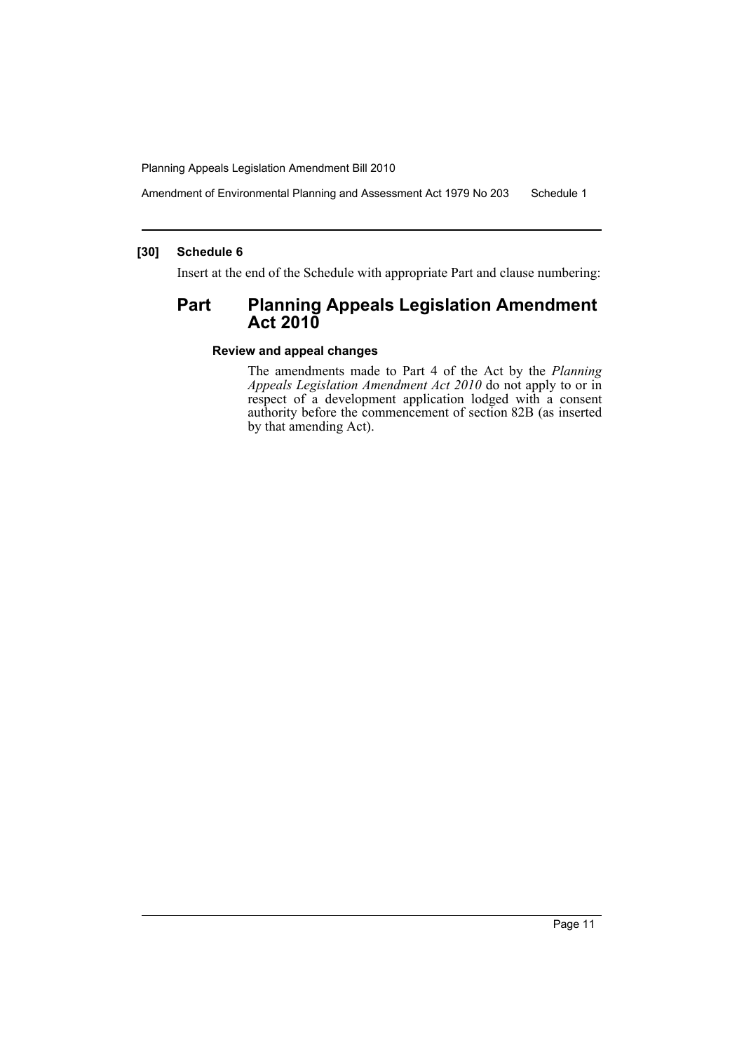Amendment of Environmental Planning and Assessment Act 1979 No 203 Schedule 1

## **[30] Schedule 6**

Insert at the end of the Schedule with appropriate Part and clause numbering:

# **Part Planning Appeals Legislation Amendment Act 2010**

## **Review and appeal changes**

The amendments made to Part 4 of the Act by the *Planning Appeals Legislation Amendment Act 2010* do not apply to or in respect of a development application lodged with a consent authority before the commencement of section 82B (as inserted by that amending Act).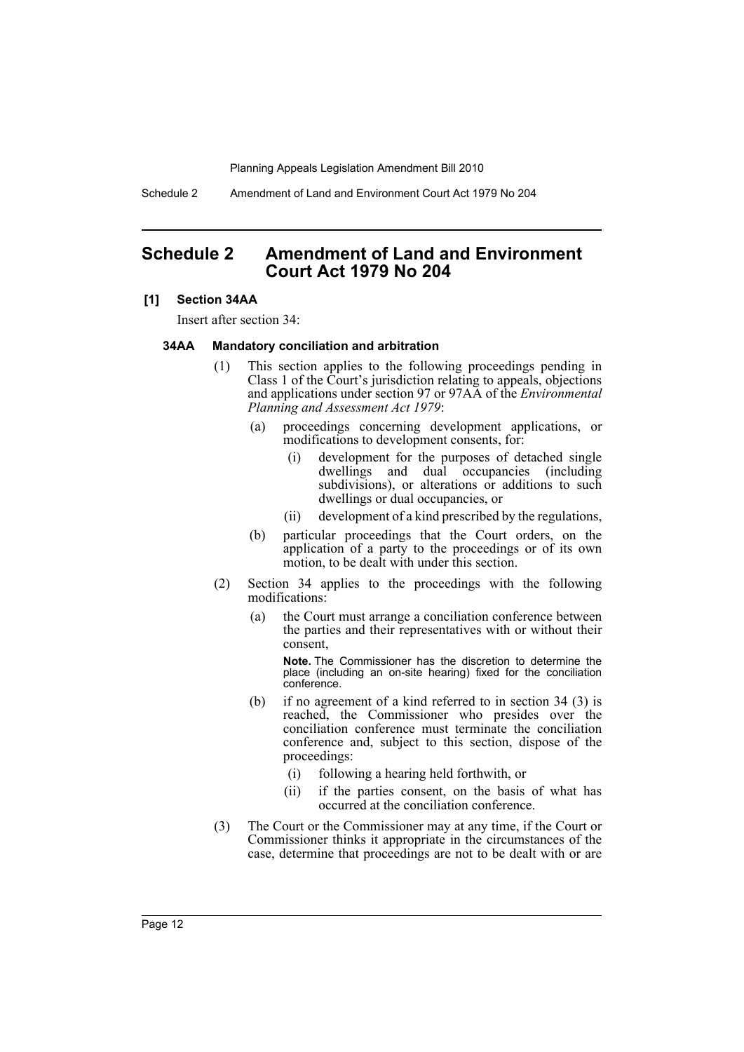Schedule 2 Amendment of Land and Environment Court Act 1979 No 204

# <span id="page-12-0"></span>**Schedule 2 Amendment of Land and Environment Court Act 1979 No 204**

#### **[1] Section 34AA**

Insert after section 34:

#### **34AA Mandatory conciliation and arbitration**

- (1) This section applies to the following proceedings pending in Class 1 of the Court's jurisdiction relating to appeals, objections and applications under section 97 or 97AA of the *Environmental Planning and Assessment Act 1979*:
	- (a) proceedings concerning development applications, or modifications to development consents, for:
		- (i) development for the purposes of detached single dwellings and dual occupancies (including subdivisions), or alterations or additions to such dwellings or dual occupancies, or
		- (ii) development of a kind prescribed by the regulations,
	- (b) particular proceedings that the Court orders, on the application of a party to the proceedings or of its own motion, to be dealt with under this section.
- (2) Section 34 applies to the proceedings with the following modifications:
	- (a) the Court must arrange a conciliation conference between the parties and their representatives with or without their consent,

**Note.** The Commissioner has the discretion to determine the place (including an on-site hearing) fixed for the conciliation conference.

- (b) if no agreement of a kind referred to in section 34 (3) is reached, the Commissioner who presides over the conciliation conference must terminate the conciliation conference and, subject to this section, dispose of the proceedings:
	- (i) following a hearing held forthwith, or
	- (ii) if the parties consent, on the basis of what has occurred at the conciliation conference.
- (3) The Court or the Commissioner may at any time, if the Court or Commissioner thinks it appropriate in the circumstances of the case, determine that proceedings are not to be dealt with or are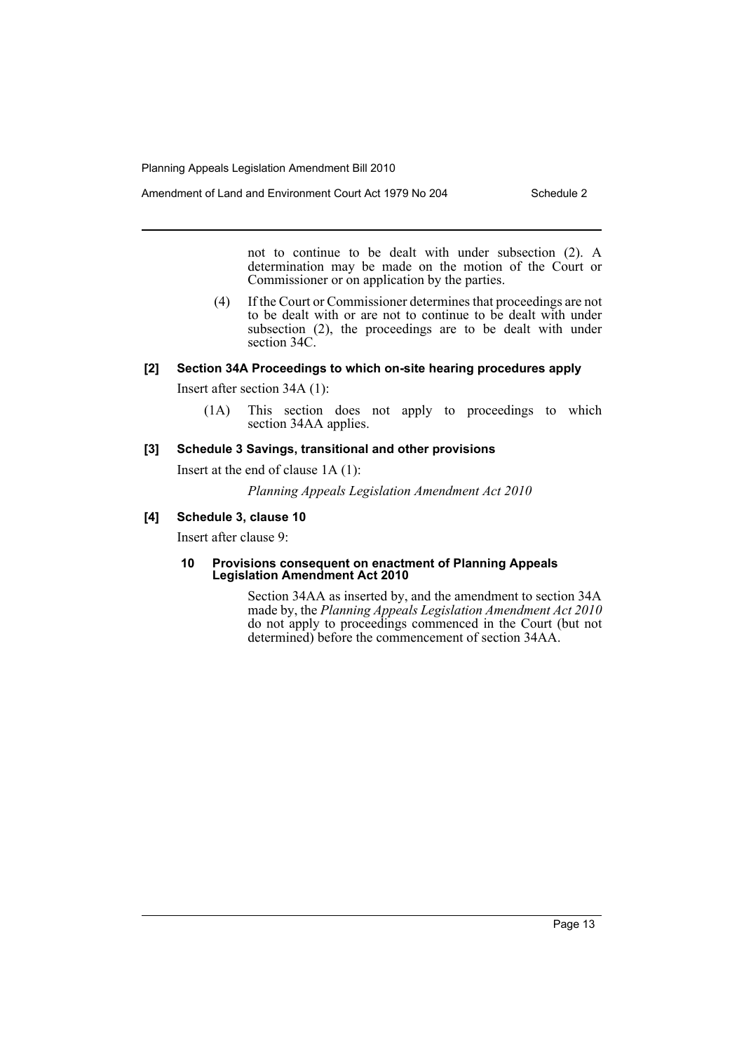not to continue to be dealt with under subsection (2). A determination may be made on the motion of the Court or Commissioner or on application by the parties.

(4) If the Court or Commissioner determines that proceedings are not to be dealt with or are not to continue to be dealt with under subsection (2), the proceedings are to be dealt with under section 34C.

#### **[2] Section 34A Proceedings to which on-site hearing procedures apply**

Insert after section 34A (1):

(1A) This section does not apply to proceedings to which section 34AA applies.

## **[3] Schedule 3 Savings, transitional and other provisions**

Insert at the end of clause 1A (1):

*Planning Appeals Legislation Amendment Act 2010*

# **[4] Schedule 3, clause 10**

Insert after clause 9:

#### **10 Provisions consequent on enactment of Planning Appeals Legislation Amendment Act 2010**

Section 34AA as inserted by, and the amendment to section 34A made by, the *Planning Appeals Legislation Amendment Act 2010* do not apply to proceedings commenced in the Court (but not determined) before the commencement of section 34AA.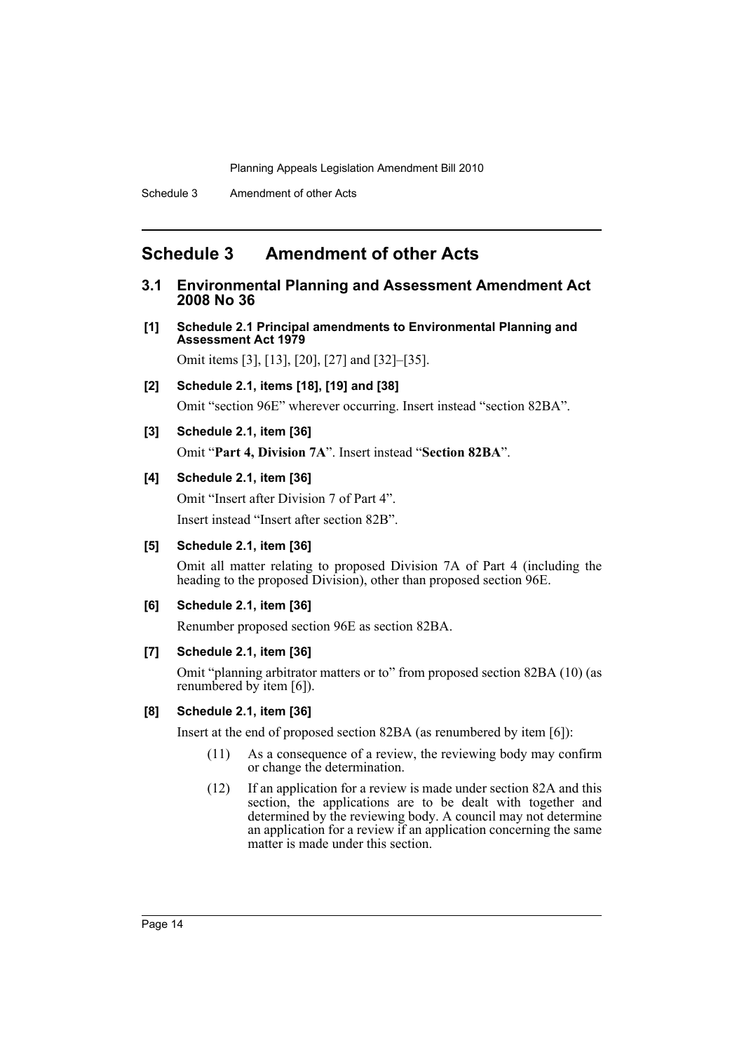# <span id="page-14-0"></span>**Schedule 3 Amendment of other Acts**

- **3.1 Environmental Planning and Assessment Amendment Act 2008 No 36**
- **[1] Schedule 2.1 Principal amendments to Environmental Planning and Assessment Act 1979**

Omit items [3], [13], [20], [27] and [32]–[35].

**[2] Schedule 2.1, items [18], [19] and [38]**

Omit "section 96E" wherever occurring. Insert instead "section 82BA".

**[3] Schedule 2.1, item [36]**

Omit "**Part 4, Division 7A**". Insert instead "**Section 82BA**".

# **[4] Schedule 2.1, item [36]**

Omit "Insert after Division 7 of Part 4".

Insert instead "Insert after section 82B".

# **[5] Schedule 2.1, item [36]**

Omit all matter relating to proposed Division 7A of Part 4 (including the heading to the proposed Division), other than proposed section 96E.

#### **[6] Schedule 2.1, item [36]**

Renumber proposed section 96E as section 82BA.

#### **[7] Schedule 2.1, item [36]**

Omit "planning arbitrator matters or to" from proposed section 82BA (10) (as renumbered by item [6]).

#### **[8] Schedule 2.1, item [36]**

Insert at the end of proposed section 82BA (as renumbered by item [6]):

- (11) As a consequence of a review, the reviewing body may confirm or change the determination.
- (12) If an application for a review is made under section 82A and this section, the applications are to be dealt with together and determined by the reviewing body. A council may not determine an application for a review if an application concerning the same matter is made under this section.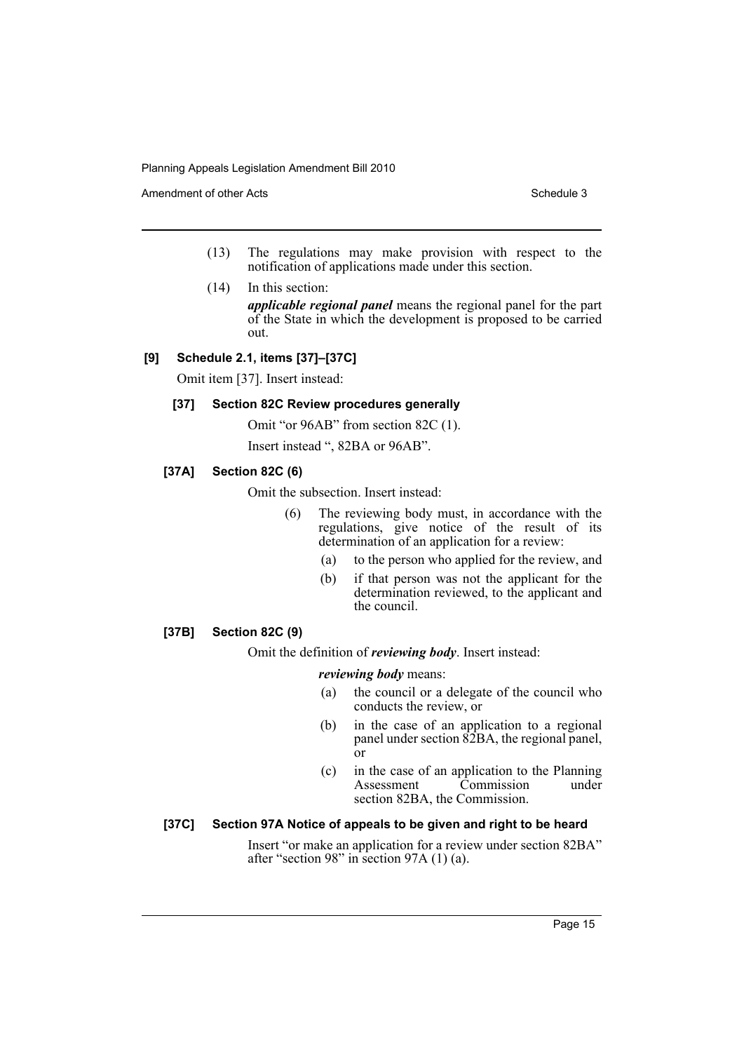Amendment of other Acts **Schedule 3** and the 3 set of the 3 set of the 3 set of the 3 set of the 3 set of the 3 set of the 3 set of the 3 set of the 3 set of the 3 set of the 3 set of the 3 set of the 3 set of the 3 set of

- (13) The regulations may make provision with respect to the notification of applications made under this section.
- (14) In this section:

*applicable regional panel* means the regional panel for the part of the State in which the development is proposed to be carried out.

# **[9] Schedule 2.1, items [37]–[37C]**

Omit item [37]. Insert instead:

# **[37] Section 82C Review procedures generally**

Omit "or 96AB" from section 82C (1).

Insert instead ", 82BA or 96AB".

# **[37A] Section 82C (6)**

Omit the subsection. Insert instead:

- (6) The reviewing body must, in accordance with the regulations, give notice of the result of its determination of an application for a review:
	- (a) to the person who applied for the review, and
	- (b) if that person was not the applicant for the determination reviewed, to the applicant and the council.

# **[37B] Section 82C (9)**

Omit the definition of *reviewing body*. Insert instead:

#### *reviewing body* means:

- (a) the council or a delegate of the council who conducts the review, or
- (b) in the case of an application to a regional panel under section 82BA, the regional panel, or
- (c) in the case of an application to the Planning Assessment Commission under section 82BA, the Commission.

### **[37C] Section 97A Notice of appeals to be given and right to be heard**

Insert "or make an application for a review under section 82BA" after "section 98" in section 97A (1) (a).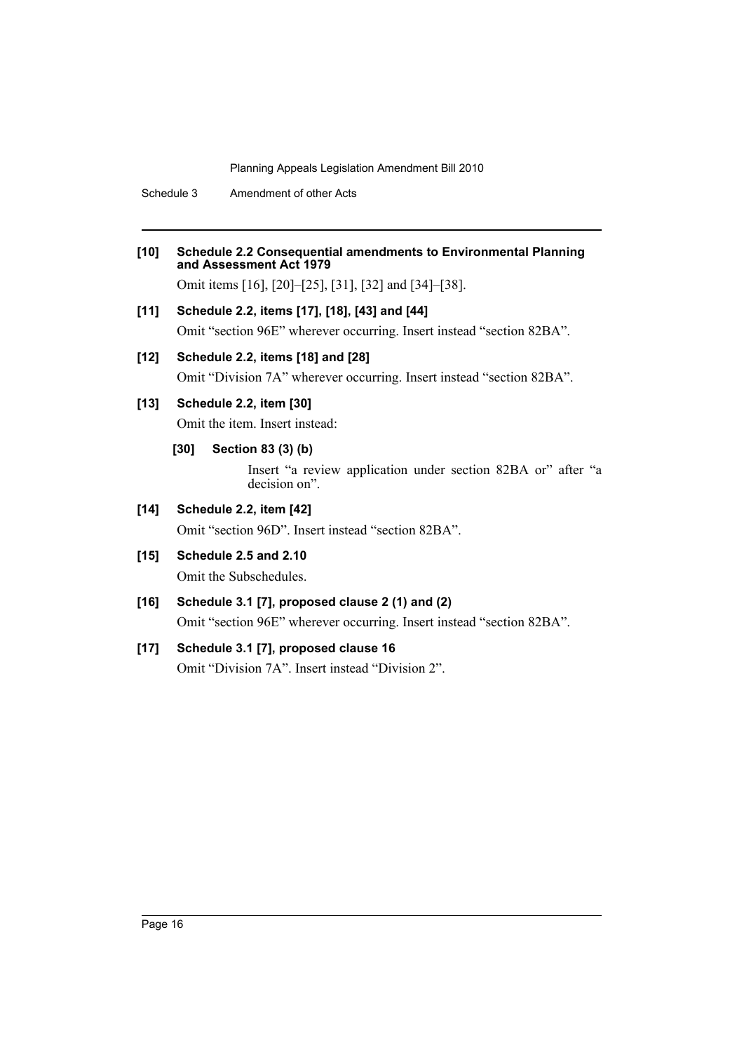Schedule 3 Amendment of other Acts

- **[10] Schedule 2.2 Consequential amendments to Environmental Planning and Assessment Act 1979** Omit items [16], [20]–[25], [31], [32] and [34]–[38].
- **[11] Schedule 2.2, items [17], [18], [43] and [44]** Omit "section 96E" wherever occurring. Insert instead "section 82BA".

# **[12] Schedule 2.2, items [18] and [28]**

Omit "Division 7A" wherever occurring. Insert instead "section 82BA".

# **[13] Schedule 2.2, item [30]**

Omit the item. Insert instead:

# **[30] Section 83 (3) (b)**

Insert "a review application under section 82BA or" after "a decision on".

# **[14] Schedule 2.2, item [42]**

Omit "section 96D". Insert instead "section 82BA".

**[15] Schedule 2.5 and 2.10**

Omit the Subschedules.

# **[16] Schedule 3.1 [7], proposed clause 2 (1) and (2)**

Omit "section 96E" wherever occurring. Insert instead "section 82BA".

# **[17] Schedule 3.1 [7], proposed clause 16**

Omit "Division 7A". Insert instead "Division 2".